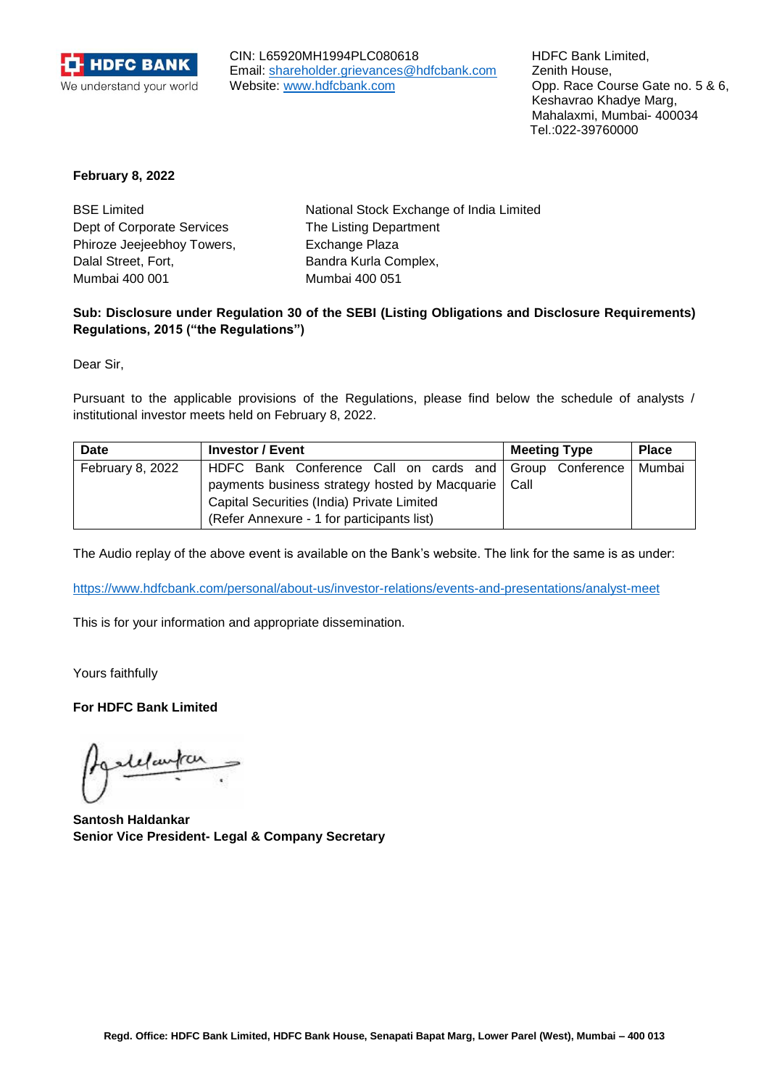

CIN: L65920MH1994PLC080618 Email: [shareholder.grievances@hdfcbank.com](mailto:shareholder.grievances@hdfcbank.com) Website: [www.hdfcbank.com](http://www.hdfcbank.com/)

HDFC Bank Limited, Zenith House, Opp. Race Course Gate no. 5 & 6, Keshavrao Khadye Marg, Mahalaxmi, Mumbai- 400034 Tel.:022-39760000

## **February 8, 2022**

| National Stock Exchange of India Limited |
|------------------------------------------|
| The Listing Department                   |
| Exchange Plaza                           |
| Bandra Kurla Complex,                    |
| Mumbai 400 051                           |
|                                          |

## **Sub: Disclosure under Regulation 30 of the SEBI (Listing Obligations and Disclosure Requirements) Regulations, 2015 ("the Regulations")**

Dear Sir,

Pursuant to the applicable provisions of the Regulations, please find below the schedule of analysts / institutional investor meets held on February 8, 2022.

| Date             | <b>Investor / Event</b>                                 | <b>Meeting Type</b> | <b>Place</b> |
|------------------|---------------------------------------------------------|---------------------|--------------|
| February 8, 2022 | HDFC Bank Conference Call on cards and Group Conference |                     | Mumbai       |
|                  | payments business strategy hosted by Macquarie   Call   |                     |              |
|                  | Capital Securities (India) Private Limited              |                     |              |
|                  | (Refer Annexure - 1 for participants list)              |                     |              |

The Audio replay of the above event is available on the Bank's website. The link for the same is as under:

<https://www.hdfcbank.com/personal/about-us/investor-relations/events-and-presentations/analyst-meet>

This is for your information and appropriate dissemination.

Yours faithfully

**For HDFC Bank Limited**

**Santosh Haldankar Senior Vice President- Legal & Company Secretary**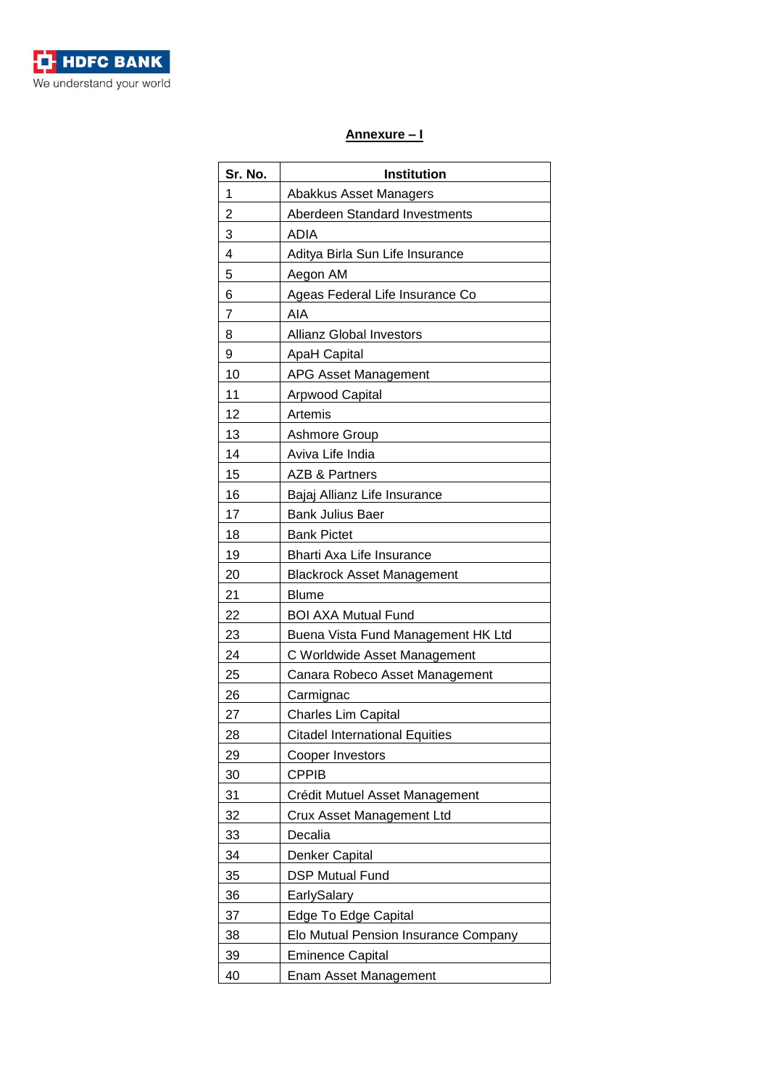

## **Annexure – I**

| Sr. No. | <b>Institution</b>                    |
|---------|---------------------------------------|
| 1       | Abakkus Asset Managers                |
| 2       | Aberdeen Standard Investments         |
| 3       | <b>ADIA</b>                           |
| 4       | Aditya Birla Sun Life Insurance       |
| 5       | Aegon AM                              |
| 6       | Ageas Federal Life Insurance Co       |
| 7       | AIA                                   |
| 8       | Allianz Global Investors              |
| 9       | <b>ApaH Capital</b>                   |
| 10      | APG Asset Management                  |
| 11      | <b>Arpwood Capital</b>                |
| 12      | Artemis                               |
| 13      | Ashmore Group                         |
| 14      | Aviva Life India                      |
| 15      | <b>AZB &amp; Partners</b>             |
| 16      | Bajaj Allianz Life Insurance          |
| 17      | <b>Bank Julius Baer</b>               |
| 18      | <b>Bank Pictet</b>                    |
| 19      | Bharti Axa Life Insurance             |
| 20      | <b>Blackrock Asset Management</b>     |
| 21      | <b>Blume</b>                          |
| 22      | <b>BOI AXA Mutual Fund</b>            |
| 23      | Buena Vista Fund Management HK Ltd    |
| 24      | C Worldwide Asset Management          |
| 25      | Canara Robeco Asset Management        |
| 26      | Carmignac                             |
| 27      | <b>Charles Lim Capital</b>            |
| 28      | <b>Citadel International Equities</b> |
| 29      | Cooper Investors                      |
| 30      | <b>CPPIB</b>                          |
| 31      | Crédit Mutuel Asset Management        |
| 32      | Crux Asset Management Ltd             |
| 33      | Decalia                               |
| 34      | Denker Capital                        |
| 35      | <b>DSP Mutual Fund</b>                |
| 36      | EarlySalary                           |
| 37      | Edge To Edge Capital                  |
| 38      | Elo Mutual Pension Insurance Company  |
| 39      | <b>Eminence Capital</b>               |
| 40      | Enam Asset Management                 |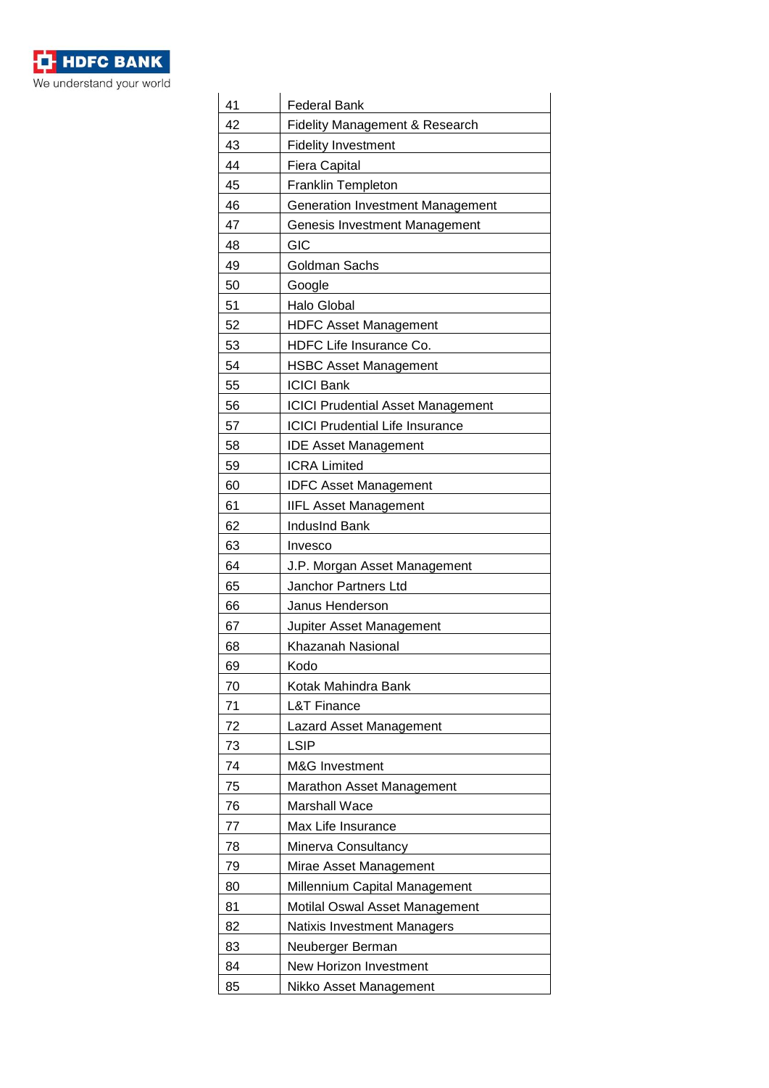

| 41 | <b>Federal Bank</b>                      |
|----|------------------------------------------|
| 42 | Fidelity Management & Research           |
| 43 | <b>Fidelity Investment</b>               |
| 44 | <b>Fiera Capital</b>                     |
| 45 | <b>Franklin Templeton</b>                |
| 46 | <b>Generation Investment Management</b>  |
| 47 | Genesis Investment Management            |
| 48 | GIC                                      |
| 49 | Goldman Sachs                            |
| 50 | Google                                   |
| 51 | <b>Halo Global</b>                       |
| 52 | <b>HDFC Asset Management</b>             |
| 53 | HDFC Life Insurance Co.                  |
| 54 | <b>HSBC Asset Management</b>             |
| 55 | <b>ICICI Bank</b>                        |
| 56 | <b>ICICI Prudential Asset Management</b> |
| 57 | <b>ICICI Prudential Life Insurance</b>   |
| 58 | <b>IDE Asset Management</b>              |
| 59 | <b>ICRA Limited</b>                      |
| 60 | <b>IDFC Asset Management</b>             |
| 61 | <b>IIFL Asset Management</b>             |
| 62 | <b>IndusInd Bank</b>                     |
| 63 | Invesco                                  |
| 64 | J.P. Morgan Asset Management             |
| 65 | Janchor Partners Ltd                     |
| 66 | Janus Henderson                          |
| 67 | Jupiter Asset Management                 |
| 68 | Khazanah Nasional                        |
| 69 | Kodo                                     |
| 70 | Kotak Mahindra Bank                      |
| 71 | <b>L&amp;T Finance</b>                   |
| 72 | Lazard Asset Management                  |
| 73 | <b>LSIP</b>                              |
| 74 | M&G Investment                           |
| 75 | <b>Marathon Asset Management</b>         |
| 76 | <b>Marshall Wace</b>                     |
| 77 | Max Life Insurance                       |
| 78 | Minerva Consultancy                      |
| 79 | Mirae Asset Management                   |
| 80 | Millennium Capital Management            |
| 81 | Motilal Oswal Asset Management           |
| 82 | Natixis Investment Managers              |
| 83 | Neuberger Berman                         |
| 84 | New Horizon Investment                   |
| 85 | Nikko Asset Management                   |